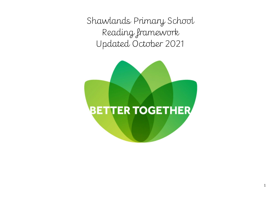Shawlands Primary School Reading framework Updated October 2021

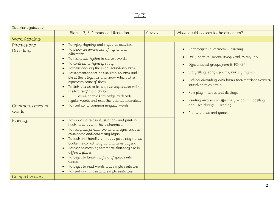# EYFS

| Statutory guidance                                   |                                                                                                                                                                                                                                                                                                                                                                                                                                                                                                                                                                             |         |                                                                                                                                                                                                                                                                                                                                                                                                                      |  |
|------------------------------------------------------|-----------------------------------------------------------------------------------------------------------------------------------------------------------------------------------------------------------------------------------------------------------------------------------------------------------------------------------------------------------------------------------------------------------------------------------------------------------------------------------------------------------------------------------------------------------------------------|---------|----------------------------------------------------------------------------------------------------------------------------------------------------------------------------------------------------------------------------------------------------------------------------------------------------------------------------------------------------------------------------------------------------------------------|--|
|                                                      | Birth - 3, 3-4 Years and Reception                                                                                                                                                                                                                                                                                                                                                                                                                                                                                                                                          | Covered | What should be seen in the classroom?                                                                                                                                                                                                                                                                                                                                                                                |  |
| Word Reading                                         |                                                                                                                                                                                                                                                                                                                                                                                                                                                                                                                                                                             |         |                                                                                                                                                                                                                                                                                                                                                                                                                      |  |
| Phonics and<br>Decoding<br>Common exception<br>words | To enjoy rhyming and rhythmic activities.<br>To show an awareness of rhyme and<br>alliteration.<br>To recognise rhythm in spoken words.<br>$\bullet$<br>To continue a rhyming string.<br>To hear and say the initial sound in words.<br>To segment the sounds in simple words and<br>blend them together and know which letter<br>represents some of them.<br>To link sounds to letters, naming and sounding<br>the letters of the alphabet.<br>To use phonic knowledge to decode<br>regular words and read them aloud accurately.<br>• To read some common irregular words |         | Phonological awareness - tracking<br>Daily phonics lessons using Read, Write, Inc.<br>Differentiated groups from EYFS-KS1<br>Storytelling, songs, poems, nursery rhymes<br>$\bullet$<br>Individual reading with books that match the correct<br>sound/phonics group<br>Role play - books and displays<br>Reading area's used effectively - adult modelling<br>and used during 1:1 reading<br>Phonics areas and games |  |
| Fluency                                              | To show interest in illustrations and print in<br>$\bullet$<br>books and print in the environment.<br>To recognise familiar words and signs such as<br>own name and advertising logos.<br>To look and handle books independently (holds<br>$\bullet$<br>books the correct way up and turns pages).<br>To ascribe meanings to marks that they see in<br>$\bullet$<br>different places.<br>To begin to break the flow of speech into<br>words.<br>To begin to read words and simple sentences.<br>To read and understand simple sentences.                                    |         |                                                                                                                                                                                                                                                                                                                                                                                                                      |  |
| Comprehension                                        |                                                                                                                                                                                                                                                                                                                                                                                                                                                                                                                                                                             |         |                                                                                                                                                                                                                                                                                                                                                                                                                      |  |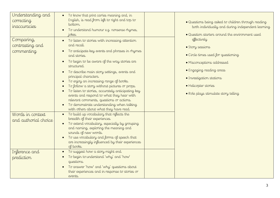| Understanding and<br>correcting<br>inaccuracies           | To know that print carries meaning and, in<br>English, is read from left to right and top to<br>bottom.<br>To understand humour e.g. nonsense rhymes,<br>jokes.                                                                                                                                                                                                                                                                                                                                                                                                                                                                | . Questions being asked to children through reading<br>both individually and during independent learning<br>• Question starters around the environment used                                                                  |
|-----------------------------------------------------------|--------------------------------------------------------------------------------------------------------------------------------------------------------------------------------------------------------------------------------------------------------------------------------------------------------------------------------------------------------------------------------------------------------------------------------------------------------------------------------------------------------------------------------------------------------------------------------------------------------------------------------|------------------------------------------------------------------------------------------------------------------------------------------------------------------------------------------------------------------------------|
| Comparing,<br>contrasting and<br>commenting               | To listen to stories with increasing attention<br>and recall.<br>To anticipate key events and phrases in rhymes<br>and stories.<br>To begin to be aware of the way stories are<br>$\bullet$<br>structured.<br>To describe main story settings, events and<br>$\bullet$<br>principal characters.<br>To enjoy an increasing range of books.<br>To follow a story without pictures or props.<br>To listen to stories, accurately anticipating key<br>events and respond to what they hear with<br>relevant comments, questions or actions.<br>To demonstrate understanding when talking<br>with others about what they have read. | effectively<br>· Story sessions<br>• Circle times used for questioning<br>· Misconceptions addressed<br>• Engaging reading areas<br>· Investigation stations<br>· Helicopter stories<br>• Role plays stimulate story telling |
| Words in context<br>and authorial choice<br>Inference and | To build up vocabulary that reflects the<br>breadth of their experiences.<br>To extend vocabulary, especially by grouping<br>$\bullet$<br>and naming, exploring the meaning and<br>sounds of new words.<br>To use vocabulary and forms of speech that<br>are increasingly influenced by their experiences<br>of books.<br>To suggest how a story might end.<br>$\bullet$                                                                                                                                                                                                                                                       |                                                                                                                                                                                                                              |
| prediction                                                | To begin to understand 'why' and 'how'<br>questions.<br>To answer 'how' and 'why' questions about<br>their experiences and in response to stories or<br>events.                                                                                                                                                                                                                                                                                                                                                                                                                                                                |                                                                                                                                                                                                                              |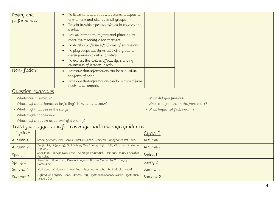| Poetry and                                                                                               | To listen to and join in with stories and poems,<br>one-to-one and also in small groups. |                                        |
|----------------------------------------------------------------------------------------------------------|------------------------------------------------------------------------------------------|----------------------------------------|
| performance                                                                                              | To join in with repeated refrains in rhymes and                                          |                                        |
|                                                                                                          | stories.                                                                                 |                                        |
|                                                                                                          | To use intonation, rhythm and phrasing to<br>$\bullet$                                   |                                        |
|                                                                                                          | make the meaning clear to others.                                                        |                                        |
|                                                                                                          | To develop preference for forms of expression.                                           |                                        |
|                                                                                                          | To play cooperatively as part of a group to<br>develop and act out a narrative.          |                                        |
|                                                                                                          | To express themselves effectively, showing                                               |                                        |
|                                                                                                          | awareness of listeners' needs.                                                           |                                        |
| Non-fiction                                                                                              | To know that information can be relayed in                                               |                                        |
|                                                                                                          | the form of print.                                                                       |                                        |
|                                                                                                          | To know that information can be retrieved from<br>books and computers.                   |                                        |
| Question examples                                                                                        |                                                                                          |                                        |
| - What does this mean?                                                                                   |                                                                                          | - What did you find out?               |
| - What might the characters be feeling? How do you know?                                                 |                                                                                          | - What can you see on the front cover? |
| - What might happen in the story?                                                                        |                                                                                          | - What happened first, next ?          |
| - What might happen next?                                                                                |                                                                                          |                                        |
|                                                                                                          | - What might happen at the end of the story?                                             |                                        |
|                                                                                                          | <u>ext type suggestions for coverage and coverage guidance</u>                           |                                        |
| Cycle A                                                                                                  |                                                                                          | Cycle B                                |
| Autumn 1                                                                                                 | Starting school, Mr Pusskins - Best in Show, Dear Zoo, Funnybones Pet Shop               | Autumn 1                               |
| Bonfire Night (poetry), Owl Babies, One Snowy Night, Jolly Christmas Postman,<br>Autumn 2<br>Nativity    |                                                                                          | Autumn 2                               |
| Stick Man, Chinese New Year, The Magic Paintbrush, Lost and Found, Pancakes<br>Spring 1<br>Pancakes      |                                                                                          | Spring 1                               |
| Polar Bear, Polar Bear, Does a Kangaroo Have a Mother Too?, Hungry<br>Spring 2<br>Caterpillar            |                                                                                          | Spring 2                               |
| Summer 1<br>Mad About Minibeasts, I love Bugs, Superworm, What the Ladybird Heard                        |                                                                                          | Summer 1                               |
| Lighthouse Keepers Lunch, Father's Day, Lighthouse Keepers Rescue, Lighthouse<br>Summer 2<br>Keepers Cat |                                                                                          | Summer 2                               |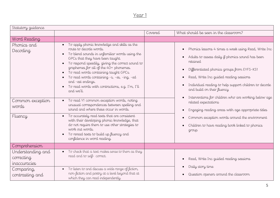| Statutory guidance                              |                                                                                                                                                                                                                                                                                                                                                                                                                                                     |         |                                                                                                                                                                                                                                                                                                       |
|-------------------------------------------------|-----------------------------------------------------------------------------------------------------------------------------------------------------------------------------------------------------------------------------------------------------------------------------------------------------------------------------------------------------------------------------------------------------------------------------------------------------|---------|-------------------------------------------------------------------------------------------------------------------------------------------------------------------------------------------------------------------------------------------------------------------------------------------------------|
|                                                 |                                                                                                                                                                                                                                                                                                                                                                                                                                                     | Covered | What should be seen in the classroom?                                                                                                                                                                                                                                                                 |
| Word Reading                                    |                                                                                                                                                                                                                                                                                                                                                                                                                                                     |         |                                                                                                                                                                                                                                                                                                       |
| Phonics and<br>Decoding                         | To apply phonic knowledge and skills as the<br>$\bullet$<br>route to decode words.<br>To blend sounds in unfamiliar words using the<br>GPCs that they have been taught.<br>To respond speedily, giving the correct sound to<br>graphemes for all of the 40+ phonemes.<br>To read words containing taught GPCs.<br>To read words containing -s, -es, -ing, -ed<br>and -est endings.<br>To read words with contractions, e.g. I'm, I'll<br>and we'll. |         | Phonics lessons 4 times a week using Read, Write Inc<br>Adults to assess daily if phonics sound has been<br>retained<br>Differentiated phonics groups from EYFS-KS1<br>Read, Write Inc guided reading sessions<br>Individual reading to help support children to decode<br>and build on their fluency |
| Common exception<br>words                       | To read Y1 common exception words, noting<br>$\bullet$<br>unusual correspondences between spelling and<br>sound and where these occur in words.                                                                                                                                                                                                                                                                                                     |         | Interventions for children who are working below age<br>related expectations<br>Engaging reading areas with age appropriate titles                                                                                                                                                                    |
| Fluency                                         | To accurately read texts that are consistent<br>$\bullet$<br>with their developing phonic knowledge, that<br>do not require them to use other strategies to<br>work out words.<br>To reread texts to build up fluency and<br>confidence in word reading.                                                                                                                                                                                            |         | Common exception words around the environment<br>$\bullet$<br>Children to have reading book linked to phonics<br>group                                                                                                                                                                                |
| Comprehension                                   |                                                                                                                                                                                                                                                                                                                                                                                                                                                     |         |                                                                                                                                                                                                                                                                                                       |
| Understanding and<br>correcting<br>inaccuracies | To check that a text makes sense to them as they<br>read and to self-correct.                                                                                                                                                                                                                                                                                                                                                                       |         | Read, Write Inc guided reading sessions<br>Daily story time                                                                                                                                                                                                                                           |
| Comparing,<br>contrasting and                   | To listen to and discuss a wide range of fiction,<br>$\bullet$<br>non-fiction and poetry at a level beyond that at<br>which they can read independently.                                                                                                                                                                                                                                                                                            |         | Question openers around the classroom                                                                                                                                                                                                                                                                 |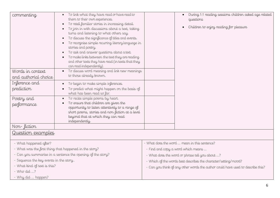| commenting                                                  | To link what they have read or have read to                |                                                                                 | During 1:1 reading sessions children asked age related          |
|-------------------------------------------------------------|------------------------------------------------------------|---------------------------------------------------------------------------------|-----------------------------------------------------------------|
|                                                             | them to their own experiences.                             |                                                                                 | questions                                                       |
|                                                             | To retell familiar stories in increasing detail.           |                                                                                 | Children to enjoy reading for pleasure                          |
|                                                             | To join in with discussions about a text, taking           |                                                                                 |                                                                 |
|                                                             | turns and listening to what others say.                    |                                                                                 |                                                                 |
|                                                             | To discuss the significance of titles and events.          |                                                                                 |                                                                 |
|                                                             | To recognise simple recurring literary language in         |                                                                                 |                                                                 |
|                                                             | stories and poetry.                                        |                                                                                 |                                                                 |
|                                                             | To ask and answer questions about a text.                  |                                                                                 |                                                                 |
|                                                             | To make links between the text they are reading            |                                                                                 |                                                                 |
|                                                             | and other texts they have read (in texts that they         |                                                                                 |                                                                 |
|                                                             | can read independently)                                    |                                                                                 |                                                                 |
| Words in context                                            | To discuss word meaning and link new meanings<br>$\bullet$ |                                                                                 |                                                                 |
| and authorial choice                                        | to those already known.                                    |                                                                                 |                                                                 |
| Inference and                                               | To begin to make simple inferences.                        |                                                                                 |                                                                 |
| prediction                                                  | To predict what might happen on the basis of               |                                                                                 |                                                                 |
|                                                             | what has been read so far.                                 |                                                                                 |                                                                 |
| Poetry and                                                  | To recite simple poems by heart.<br>$\bullet$              |                                                                                 |                                                                 |
| performance                                                 | To ensure that children are given the<br>$\bullet$         |                                                                                 |                                                                 |
|                                                             | opportunity to listen attentively to a range of            |                                                                                 |                                                                 |
|                                                             | short poems, stories and non-fiction at a level            |                                                                                 |                                                                 |
|                                                             | beyond that at which they can read                         |                                                                                 |                                                                 |
|                                                             | independently.                                             |                                                                                 |                                                                 |
| Non-fiction                                                 |                                                            |                                                                                 |                                                                 |
| <u>Question examples</u>                                    |                                                            |                                                                                 |                                                                 |
| - What happened after?                                      |                                                            |                                                                                 | - What does the word  mean in this sentence?                    |
|                                                             | - What was the first thing that happened in the story?     |                                                                                 | - Find and copy a word which means                              |
| - Can you summarise in a sentence the opening of the story? |                                                            | - What does the word or phrase tell you about ?                                 |                                                                 |
| - Sequence the key events in the story                      |                                                            |                                                                                 | - Which of the words best describes the character/setting/mood? |
| - What kind of text is this?                                |                                                            | - Can you think of any other words the author could have used to describe this? |                                                                 |
| $-Wh\sigma$ did ?                                           |                                                            |                                                                                 |                                                                 |
| - Why did  happen?                                          |                                                            |                                                                                 |                                                                 |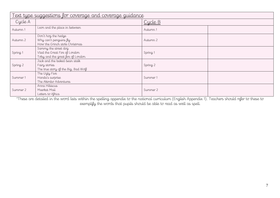| <u>Text type suggestions for coverage and coverage guidance</u> |                                                                                            |                |  |
|-----------------------------------------------------------------|--------------------------------------------------------------------------------------------|----------------|--|
| Cycle A                                                         |                                                                                            | <u>Cycle B</u> |  |
| Autumn 1                                                        | Leon and the place in between                                                              | Autumn 1       |  |
| Autumn 2                                                        | Don't hog the hedge<br>Why can't penguins fly<br>How the Grinch stole Christmas            | Autumn 2       |  |
| Spring 1                                                        | Sammy the street dog<br>Vlad the Great Fire of London<br>Toby and the great fire of London | Spring 1       |  |
| Spring 2                                                        | Jack and the baked bean stalk<br>Fairy stories<br>The true story of the Big, Bad Wolf      | Spring 2       |  |
| Summer 1                                                        | The Ugly Five<br>Handa's surprise<br>The Akimbo Adventures                                 | Summer 1       |  |
| Summer 2                                                        | Anna Hibiscus<br>Meerkat Mail<br>Letters to Africa                                         | Summer 2       |  |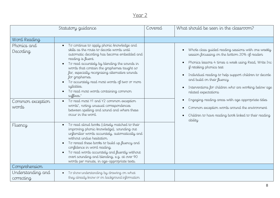| Statutory guidance              |                                                                                                                                                                                                                                                                                                                                                                                                                                                               | Covered | What should be seen in the classroom?                                                                                                                                                                                                                                                                                                                                                                                |
|---------------------------------|---------------------------------------------------------------------------------------------------------------------------------------------------------------------------------------------------------------------------------------------------------------------------------------------------------------------------------------------------------------------------------------------------------------------------------------------------------------|---------|----------------------------------------------------------------------------------------------------------------------------------------------------------------------------------------------------------------------------------------------------------------------------------------------------------------------------------------------------------------------------------------------------------------------|
| Word Reading                    |                                                                                                                                                                                                                                                                                                                                                                                                                                                               |         |                                                                                                                                                                                                                                                                                                                                                                                                                      |
| Phonics and<br>Decoding         | To continue to apply phonic knowledge and<br>$\bullet$<br>skills as the route to decode words until<br>automatic decoding has become embedded and<br>reading is fluent.<br>To read accurately by blending the sounds in<br>words that contain the graphemes taught so<br>far, especially recognising alternative sounds<br>for graphemes.<br>To accurately read most words of two or more<br>syllables.<br>To read most words containing common<br>suffixes.* |         | Whole class guided reading sessions with one weekly<br>$\bullet$<br>session focussing on the bottom 20% of readers<br>Phonics lessons 4 times a week using Read, Write Inc<br>$\bullet$<br>if retaking phonics test<br>Individual reading to help support children to decode<br>$\bullet$<br>and build on their fluency<br>Interventions for children who are working below age<br>$\bullet$<br>related expectations |
| Common exception<br>words       | To read most Y1 and Y2 common exception<br>$\bullet$<br>words*, noting unusual correspondences<br>between spelling and sound and where these<br>occur in the word.                                                                                                                                                                                                                                                                                            |         | Engaging reading areas with age appropriate titles<br>$\bullet$<br>Common exception words around the environment<br>$\bullet$<br>Children to have reading book linked to their reading<br>$\bullet$<br>ability                                                                                                                                                                                                       |
| Fluency                         | To read aloud books (closely matched to their<br>improving phonic knowledge), sounding out<br>unfamiliar words accurately, automatically and<br>without undue hesitation.<br>To reread these books to build up fluency and<br>$\bullet$<br>confidence in word reading.<br>To read words accurately and fluently without<br>overt sounding and blending, e.g. at over 90<br>words per minute, in age-appropriate texts.                                        |         |                                                                                                                                                                                                                                                                                                                                                                                                                      |
| Comprehension                   |                                                                                                                                                                                                                                                                                                                                                                                                                                                               |         |                                                                                                                                                                                                                                                                                                                                                                                                                      |
| Understanding and<br>correcting | To show understanding by drawing on what<br>they already know or on background information                                                                                                                                                                                                                                                                                                                                                                    |         |                                                                                                                                                                                                                                                                                                                                                                                                                      |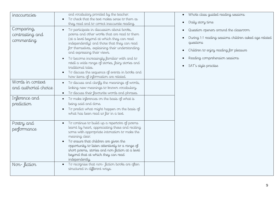| inaccuracies                                | and vocabulary provided by the teacher.<br>To check that the text makes sense to them as<br>they read and to correct inaccurate reading.                                                                                                                                                                                                                                                                                                                                                                | Whole class gu<br>$\bullet$<br>Daily story tim                                                                                  |
|---------------------------------------------|---------------------------------------------------------------------------------------------------------------------------------------------------------------------------------------------------------------------------------------------------------------------------------------------------------------------------------------------------------------------------------------------------------------------------------------------------------------------------------------------------------|---------------------------------------------------------------------------------------------------------------------------------|
| Comparing,<br>contrasting and<br>commenting | To participate in discussion about books,<br>$\bullet$<br>poems and other works that are read to them<br>(at a level beyond at which they can read<br>independently) and those that they can read<br>for themselves, explaining their understanding<br>and expressing their views.<br>To become increasingly familiar with and to<br>retell a wide range of stories, fairy stories and<br>traditional tales.<br>To discuss the sequence of events in books and<br>how items of information are related. | Question opene<br>During 1:1 read<br>questions<br>Children to enj<br>$\bullet$<br>Reading compr<br>SAT's style pra<br>$\bullet$ |
| Words in context<br>and authorial choice    | To discuss and clarify the meanings of words,<br>linking new meanings to known vocabulary.<br>To discuss their favourite words and phrases.                                                                                                                                                                                                                                                                                                                                                             |                                                                                                                                 |
| Inference and<br>prediction                 | To make inferences on the basis of what is<br>$\bullet$<br>being said and done.<br>To predict what might happen on the basis of<br>what has been read so far in a text.                                                                                                                                                                                                                                                                                                                                 |                                                                                                                                 |
| Poetry and<br>performance                   | To continue to build up a repertoire of poems<br>learnt by heart, appreciating these and reciting<br>some with appropriate intonation to make the<br>meaning clear.<br>To ensure that children are given the<br>opportunity to listen attentively to a range of<br>short poems, stories and non-fiction at a level<br>beyond that at which they can read<br>independently.                                                                                                                              |                                                                                                                                 |
| Non-fiction                                 | To recognise that non-fiction books are often<br>$\bullet$<br>structured in different ways.                                                                                                                                                                                                                                                                                                                                                                                                             |                                                                                                                                 |

- uided reading sessions
- Daily story time
- $\epsilon$  around the classroom
- ding sessions children asked age related
- joy reading for pleasure
- rehension sessions
- actise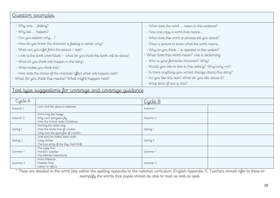#### Question examples

| - Why was  feeling?                                                         | - What does the word  mean in this sentence?           |  |
|-----------------------------------------------------------------------------|--------------------------------------------------------|--|
| - Why did  happen?                                                          | - Find and copy a word that means                      |  |
| - Can you explain why ?                                                     | - What does this word or phrases tell you about?       |  |
| - How do you know the character is feeling a certain way?                   | - Draw a picture to show what the word means           |  |
| - What can you infer from the picture / text?                               | - Why do you think  is repeated in this section?       |  |
| - Look at the book cover/blurb - what do you think this book will be about? | - What does this word mean? Use a dictionary           |  |
| - What do you think will happen in the story?                               | - Who is your favourite character? Why?                |  |
| - What makes you think this/                                                | - Would you like to live in this setting? Why/why not? |  |
| - How does the choice of the character affect what will happen next?        | - Is there anything you would change about this story? |  |
| - What do you think this means? What might happen next?                     | - Do you like this text? What do you like about it?    |  |
|                                                                             | - What kind of text is this?                           |  |
| <u> Text type suggestions for coverage and coverage guidance</u>            |                                                        |  |
|                                                                             |                                                        |  |

| Cycle A  |                                                                                            | Cycle B  |  |
|----------|--------------------------------------------------------------------------------------------|----------|--|
| Autumn 1 | Leon and the place in between                                                              | Autumn 1 |  |
| Autumn 2 | Don't hog the hedge<br>Why can't penguins fly<br>How the Grinch stole Christmas            | Autumn 2 |  |
| Spring 1 | Sammy the street dog<br>Vlad the Great Fire of London<br>Toby and the great fire of London | Spring 1 |  |
| Spring 2 | Jack and the baked bean stalk<br>Fairy stories<br>The true story of the Big, Bad Wolf      | Spring 2 |  |
| Summer 1 | The Ugly Five<br>Handa's surprise<br>The Akimbo Adventures                                 | Summer 1 |  |
| Summer 2 | Anna Hibiscus<br>Meerkat Mail<br>Letters to Africa                                         | Summer 2 |  |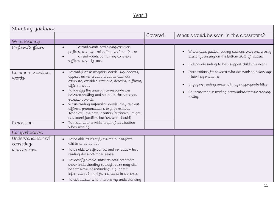| Statutory guidance                              |                                                                                                                                                                                                                                                                                                                                                                                                                                                                                    |         |                                                                                                                                                                                                        |
|-------------------------------------------------|------------------------------------------------------------------------------------------------------------------------------------------------------------------------------------------------------------------------------------------------------------------------------------------------------------------------------------------------------------------------------------------------------------------------------------------------------------------------------------|---------|--------------------------------------------------------------------------------------------------------------------------------------------------------------------------------------------------------|
|                                                 |                                                                                                                                                                                                                                                                                                                                                                                                                                                                                    | Covered | What should be seen in the classroom?                                                                                                                                                                  |
| Word Reading                                    |                                                                                                                                                                                                                                                                                                                                                                                                                                                                                    |         |                                                                                                                                                                                                        |
| Prefixes/Suffixes                               | To read words containing common<br>$\bullet$<br>prefixes, e.g. dis-, mis-. In-. il-. Im-. Ir-, re-<br>To read words containing common<br>suffixes, e.g. -ly, ous.                                                                                                                                                                                                                                                                                                                  |         | Whole class guided reading sessions with one weekly<br>session focussing on the bottom 20% of readers<br>Individual reading to help support children's needs                                           |
| Common exception<br>words                       | To read further exception words, e.g. address,<br>appear, arrive, breath, breathe, calendar,<br>complete, consider, continue, describe, different,<br>difficult, early<br>To identify the unusual correspondences<br>between spelling and sound in the common<br>exception words.<br>When reading unfamiliar words, they test out<br>different pronunciations (e.g. in reading<br>'technical', the pronunciation 'tetchnical' might<br>not sound familiar, but 'teknical' should). |         | Interventions for children who are working below age<br>related expectations<br>Engaging reading areas with age appropriate titles<br>Children to have reading book linked to their reading<br>ability |
| Expression                                      | To respond to a wide range of punctuation<br>$\bullet$<br>when reading.                                                                                                                                                                                                                                                                                                                                                                                                            |         |                                                                                                                                                                                                        |
| Comprehension                                   |                                                                                                                                                                                                                                                                                                                                                                                                                                                                                    |         |                                                                                                                                                                                                        |
| Understanding and<br>correcting<br>inaccuracies | To be able to identify the main idea from<br>$\bullet$<br>within a paragraph.<br>To be able to self-correct and re-reads when<br>reading does not make sense.<br>To identify simple, most obvious points to                                                                                                                                                                                                                                                                        |         |                                                                                                                                                                                                        |
|                                                 | show understanding (though there may also<br>be some misunderstanding, e.g. about<br>information from different places in the text).<br>To ask questions to improve my understanding<br>$\bullet$                                                                                                                                                                                                                                                                                  |         |                                                                                                                                                                                                        |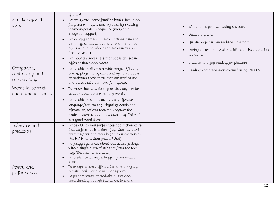|                                             | of a text.                                                                                                                                                                                                                                                                                                                                                                                                                        |                                                                                                                                                                                                                   |
|---------------------------------------------|-----------------------------------------------------------------------------------------------------------------------------------------------------------------------------------------------------------------------------------------------------------------------------------------------------------------------------------------------------------------------------------------------------------------------------------|-------------------------------------------------------------------------------------------------------------------------------------------------------------------------------------------------------------------|
| Familiarity with<br>texts                   | To orally retell some familiar books, including<br>fairy stories, myths and legends, by recalling<br>the main points in sequence (may need<br>images to support).<br>To identify some simple connections between<br>texts, e.g. similarities in plot, topic, or books<br>by same author, about same characters. (Y2 -<br>Greater Depth)<br>To show an awareness that books are set in<br>$\bullet$<br>different times and places. | Whole class guided reading sessions<br>Daily story time<br>Question openers around the classroom<br>During 1:1 reading sessions children asked age related<br>questions<br>Children to enjoy reading for pleasure |
| Comparing,<br>contrasting and<br>commenting | To be able to discuss a wide range of fiction,<br>poetry, plays, non-fiction and reference books<br>or textbooks (both those that are read to me<br>and those that I can read for myself).                                                                                                                                                                                                                                        | Reading comprehension covered using VIPERS                                                                                                                                                                        |
| Words in context<br>and authorial choice    | • To know that a dictionary or glossary can be<br>used to check the meaning of words.<br>To be able to comment on basis, effective<br>$\bullet$<br>language features (e.g. rhyming words and<br>refrains, adjectives) that may capture the<br>reader's interest and imagination (e.g. ""slimy"<br>is a good word there').                                                                                                         |                                                                                                                                                                                                                   |
| Inference and<br>prediction                 | To be able to make inferences about characters'<br>$\bullet$<br>feelings from their actions (e.g. 'Sam tumbled<br>onto the floor and tears began to run down his<br>cheeks.' How is Sam feeling? Sad).<br>To justify inferences about characters' feelings<br>with a single piece of evidence from the text<br>(e.g. 'Because he is crying').<br>To predict what might happen from details<br>stated.                             |                                                                                                                                                                                                                   |
| Poetry and<br>performance                   | To recognise some different forms of poetry e.g.<br>acrostic, haiku, cinquains, shape poems.<br>To prepare poems to read aloud, showing<br>understanding through intonation, tone and                                                                                                                                                                                                                                             |                                                                                                                                                                                                                   |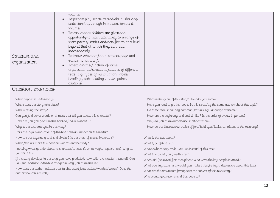| volume.<br>To prepare play scripts to read aloud, showing<br>$\bullet$<br>understanding through intonation, tone and<br>volume.<br>To ensure that children are given the<br>opportunity to listen attentively to a range of<br>short poems, stories and non-fiction at a level<br>beyond that at which they can read<br>independently.<br>To know where to find a content page and<br>Structure and<br>$\bullet$<br>explain what it is for.<br>To explain the function of some<br>organisational/structural features of different<br>texts (e.g. types of punctuation, labels,<br>headings, sub-headings, bullet points,<br>captions).<br><u>Question examples</u><br>What happened in the story?<br>What is the genre of this story? How do you know?<br>Where does the story take place?<br>Have you read any other books in this series/by the same author/about this topic?<br>Who is telling the story?<br>Do these texts share any common features e.g. language or theme?<br>How are the beginning and end similar? Is the order of events important?<br>Can you find some words or phrases that tell you about this character?<br>How are you going to use this book to find out about?<br>Why do you think authors use short sentences?<br>Why is the text arranged in this way?<br>How do the illustrations/choice of font/bold type/italics contribute to the meaning?<br>Does the layout and colour of the text have an impact on the reader?<br>What is the text about?<br>How are the beginning and end similar? Is the order of events important?<br>What features make this book similar to (another text)?<br>What type of text is it?<br>Knowing what you do about (a character/an event), what might happen next? Why do<br>Which subheading could you use instead of this one?<br>you think this?<br>What title could you give this text?<br>If the story develops in the way you have predicted, how will (a character) respond? Can<br>When did (an event) first take place? Who were the key people involved?<br>you find evidence in the text to explain why you think this is?<br>What opening statement would you make in beginning a discussion about this text?<br>How does the author indicate that (a character) feels excited/worried/scared? Does the<br>What are the arguments for/against the subject of this text/story?<br>author show this directly?<br>Who would you recommend this book to? |              |  |  |  |
|------------------------------------------------------------------------------------------------------------------------------------------------------------------------------------------------------------------------------------------------------------------------------------------------------------------------------------------------------------------------------------------------------------------------------------------------------------------------------------------------------------------------------------------------------------------------------------------------------------------------------------------------------------------------------------------------------------------------------------------------------------------------------------------------------------------------------------------------------------------------------------------------------------------------------------------------------------------------------------------------------------------------------------------------------------------------------------------------------------------------------------------------------------------------------------------------------------------------------------------------------------------------------------------------------------------------------------------------------------------------------------------------------------------------------------------------------------------------------------------------------------------------------------------------------------------------------------------------------------------------------------------------------------------------------------------------------------------------------------------------------------------------------------------------------------------------------------------------------------------------------------------------------------------------------------------------------------------------------------------------------------------------------------------------------------------------------------------------------------------------------------------------------------------------------------------------------------------------------------------------------------------------------------------------------------------------------------------------------------------------------------------------------------------------------------|--------------|--|--|--|
|                                                                                                                                                                                                                                                                                                                                                                                                                                                                                                                                                                                                                                                                                                                                                                                                                                                                                                                                                                                                                                                                                                                                                                                                                                                                                                                                                                                                                                                                                                                                                                                                                                                                                                                                                                                                                                                                                                                                                                                                                                                                                                                                                                                                                                                                                                                                                                                                                                    |              |  |  |  |
|                                                                                                                                                                                                                                                                                                                                                                                                                                                                                                                                                                                                                                                                                                                                                                                                                                                                                                                                                                                                                                                                                                                                                                                                                                                                                                                                                                                                                                                                                                                                                                                                                                                                                                                                                                                                                                                                                                                                                                                                                                                                                                                                                                                                                                                                                                                                                                                                                                    | organisation |  |  |  |
|                                                                                                                                                                                                                                                                                                                                                                                                                                                                                                                                                                                                                                                                                                                                                                                                                                                                                                                                                                                                                                                                                                                                                                                                                                                                                                                                                                                                                                                                                                                                                                                                                                                                                                                                                                                                                                                                                                                                                                                                                                                                                                                                                                                                                                                                                                                                                                                                                                    |              |  |  |  |
|                                                                                                                                                                                                                                                                                                                                                                                                                                                                                                                                                                                                                                                                                                                                                                                                                                                                                                                                                                                                                                                                                                                                                                                                                                                                                                                                                                                                                                                                                                                                                                                                                                                                                                                                                                                                                                                                                                                                                                                                                                                                                                                                                                                                                                                                                                                                                                                                                                    |              |  |  |  |
|                                                                                                                                                                                                                                                                                                                                                                                                                                                                                                                                                                                                                                                                                                                                                                                                                                                                                                                                                                                                                                                                                                                                                                                                                                                                                                                                                                                                                                                                                                                                                                                                                                                                                                                                                                                                                                                                                                                                                                                                                                                                                                                                                                                                                                                                                                                                                                                                                                    |              |  |  |  |
|                                                                                                                                                                                                                                                                                                                                                                                                                                                                                                                                                                                                                                                                                                                                                                                                                                                                                                                                                                                                                                                                                                                                                                                                                                                                                                                                                                                                                                                                                                                                                                                                                                                                                                                                                                                                                                                                                                                                                                                                                                                                                                                                                                                                                                                                                                                                                                                                                                    |              |  |  |  |
|                                                                                                                                                                                                                                                                                                                                                                                                                                                                                                                                                                                                                                                                                                                                                                                                                                                                                                                                                                                                                                                                                                                                                                                                                                                                                                                                                                                                                                                                                                                                                                                                                                                                                                                                                                                                                                                                                                                                                                                                                                                                                                                                                                                                                                                                                                                                                                                                                                    |              |  |  |  |
|                                                                                                                                                                                                                                                                                                                                                                                                                                                                                                                                                                                                                                                                                                                                                                                                                                                                                                                                                                                                                                                                                                                                                                                                                                                                                                                                                                                                                                                                                                                                                                                                                                                                                                                                                                                                                                                                                                                                                                                                                                                                                                                                                                                                                                                                                                                                                                                                                                    |              |  |  |  |
|                                                                                                                                                                                                                                                                                                                                                                                                                                                                                                                                                                                                                                                                                                                                                                                                                                                                                                                                                                                                                                                                                                                                                                                                                                                                                                                                                                                                                                                                                                                                                                                                                                                                                                                                                                                                                                                                                                                                                                                                                                                                                                                                                                                                                                                                                                                                                                                                                                    |              |  |  |  |
|                                                                                                                                                                                                                                                                                                                                                                                                                                                                                                                                                                                                                                                                                                                                                                                                                                                                                                                                                                                                                                                                                                                                                                                                                                                                                                                                                                                                                                                                                                                                                                                                                                                                                                                                                                                                                                                                                                                                                                                                                                                                                                                                                                                                                                                                                                                                                                                                                                    |              |  |  |  |
|                                                                                                                                                                                                                                                                                                                                                                                                                                                                                                                                                                                                                                                                                                                                                                                                                                                                                                                                                                                                                                                                                                                                                                                                                                                                                                                                                                                                                                                                                                                                                                                                                                                                                                                                                                                                                                                                                                                                                                                                                                                                                                                                                                                                                                                                                                                                                                                                                                    |              |  |  |  |
|                                                                                                                                                                                                                                                                                                                                                                                                                                                                                                                                                                                                                                                                                                                                                                                                                                                                                                                                                                                                                                                                                                                                                                                                                                                                                                                                                                                                                                                                                                                                                                                                                                                                                                                                                                                                                                                                                                                                                                                                                                                                                                                                                                                                                                                                                                                                                                                                                                    |              |  |  |  |
|                                                                                                                                                                                                                                                                                                                                                                                                                                                                                                                                                                                                                                                                                                                                                                                                                                                                                                                                                                                                                                                                                                                                                                                                                                                                                                                                                                                                                                                                                                                                                                                                                                                                                                                                                                                                                                                                                                                                                                                                                                                                                                                                                                                                                                                                                                                                                                                                                                    |              |  |  |  |
|                                                                                                                                                                                                                                                                                                                                                                                                                                                                                                                                                                                                                                                                                                                                                                                                                                                                                                                                                                                                                                                                                                                                                                                                                                                                                                                                                                                                                                                                                                                                                                                                                                                                                                                                                                                                                                                                                                                                                                                                                                                                                                                                                                                                                                                                                                                                                                                                                                    |              |  |  |  |
|                                                                                                                                                                                                                                                                                                                                                                                                                                                                                                                                                                                                                                                                                                                                                                                                                                                                                                                                                                                                                                                                                                                                                                                                                                                                                                                                                                                                                                                                                                                                                                                                                                                                                                                                                                                                                                                                                                                                                                                                                                                                                                                                                                                                                                                                                                                                                                                                                                    |              |  |  |  |
|                                                                                                                                                                                                                                                                                                                                                                                                                                                                                                                                                                                                                                                                                                                                                                                                                                                                                                                                                                                                                                                                                                                                                                                                                                                                                                                                                                                                                                                                                                                                                                                                                                                                                                                                                                                                                                                                                                                                                                                                                                                                                                                                                                                                                                                                                                                                                                                                                                    |              |  |  |  |
|                                                                                                                                                                                                                                                                                                                                                                                                                                                                                                                                                                                                                                                                                                                                                                                                                                                                                                                                                                                                                                                                                                                                                                                                                                                                                                                                                                                                                                                                                                                                                                                                                                                                                                                                                                                                                                                                                                                                                                                                                                                                                                                                                                                                                                                                                                                                                                                                                                    |              |  |  |  |
|                                                                                                                                                                                                                                                                                                                                                                                                                                                                                                                                                                                                                                                                                                                                                                                                                                                                                                                                                                                                                                                                                                                                                                                                                                                                                                                                                                                                                                                                                                                                                                                                                                                                                                                                                                                                                                                                                                                                                                                                                                                                                                                                                                                                                                                                                                                                                                                                                                    |              |  |  |  |
|                                                                                                                                                                                                                                                                                                                                                                                                                                                                                                                                                                                                                                                                                                                                                                                                                                                                                                                                                                                                                                                                                                                                                                                                                                                                                                                                                                                                                                                                                                                                                                                                                                                                                                                                                                                                                                                                                                                                                                                                                                                                                                                                                                                                                                                                                                                                                                                                                                    |              |  |  |  |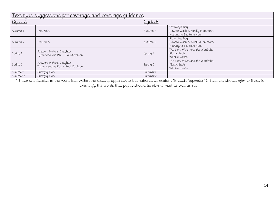| <u>Text type suggestions for coverage and coverage guidance</u> |                                                               |          |                                                                            |  |
|-----------------------------------------------------------------|---------------------------------------------------------------|----------|----------------------------------------------------------------------------|--|
| Cycle A                                                         |                                                               | Cycle B  |                                                                            |  |
| Autumn 1                                                        | Tron, Man                                                     | Autumn 1 | Stone Age Boy<br>How to Wash a Woolly Mammoth<br>Nothing to See Here Hotel |  |
| Autumn 2                                                        | Iron Man                                                      | Autumn 2 | Stone Age Boy<br>How to Wash a Woolly Mammoth<br>Nothing to See Here Hotel |  |
| Spring 1                                                        | Firework Maker's Daughter<br>Tyrannosaurus Rex - Paul Cookson | Spring 1 | The Lion, Witch and the Wardrobe<br>Plastic Sucks<br>What a waste          |  |
| Spring 2                                                        | Firework Maker's Daughter<br>Tyrannosaurus Rex - Paul Cookson | Spring 2 | The Lion, Witch and the Wardrobe<br>Plastic Sucks<br>What a waste          |  |
| Summer 1                                                        | Butterfly Lion                                                | Summer 1 |                                                                            |  |
| Summer 2                                                        | Butterfly Lion                                                | Summer 2 |                                                                            |  |

\* These are detailed in the word lists within the spelling appendix to the national curriculum (English Appendix 1). Teachers should refer to these to

exemplify the words that pupils should be able to read as well as spell.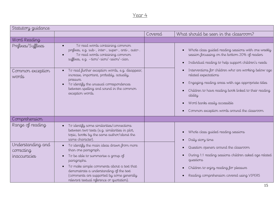| Statutory guidance                              |                                                                                                                                                                                                                                                                                                                                                 |         |                                                                                                                                                                                                                                                                                       |
|-------------------------------------------------|-------------------------------------------------------------------------------------------------------------------------------------------------------------------------------------------------------------------------------------------------------------------------------------------------------------------------------------------------|---------|---------------------------------------------------------------------------------------------------------------------------------------------------------------------------------------------------------------------------------------------------------------------------------------|
|                                                 |                                                                                                                                                                                                                                                                                                                                                 | Covered | What should be seen in the classroom?                                                                                                                                                                                                                                                 |
| Word Reading                                    |                                                                                                                                                                                                                                                                                                                                                 |         |                                                                                                                                                                                                                                                                                       |
| Prefixes/Suffixes                               | To read words containing common<br>prefixes, e.g. sub-, inter-, super-, anti-, auto-.<br>To read words containing common<br>suffixes, e.g. -tion/-sion/-ssion/-cian.                                                                                                                                                                            |         | Whole class guided reading sessions with one weekly<br>session focussing on the bottom 20% of readers<br>Individual reading to help support children's needs                                                                                                                          |
| Common exception<br>words                       | To read further exception words, e.g. disappear,<br>increase, important, probably, actually,<br>pressure.<br>To identify the unusual correspondences<br>between spelling and sound in the common<br>exception words.                                                                                                                            |         | Interventions for children who are working below age<br>related expectations<br>Engaging reading areas with age appropriate titles<br>Children to have reading book linked to their reading<br>ability<br>Word banks easily accessible<br>Common exception words around the classroom |
| Comprehension                                   |                                                                                                                                                                                                                                                                                                                                                 |         |                                                                                                                                                                                                                                                                                       |
| Range of reading                                | To identify some similarities/connections<br>between two texts (e.g. similarities in plot,<br>topic, books by the same author/about the<br>same character).                                                                                                                                                                                     |         | Whole class guided reading sessions<br>Daily story time                                                                                                                                                                                                                               |
| Understanding and<br>correcting<br>inaccuracies | To identify the main ideas drawn from more<br>$\bullet$<br>than one paragraph.<br>To be able to summarise a group of<br>$\bullet$<br>paragraphs.<br>To make simple comments about a text that<br>$\bullet$<br>demonstrate a understanding of the text<br>(comments are supported by some generally<br>relevant textual reference or quotation). |         | Question openers around the classroom<br>During 1:1 reading sessions children asked age related<br>questions<br>Children to enjoy reading for pleasure<br>Reading comprehension covered using VIPERS                                                                                  |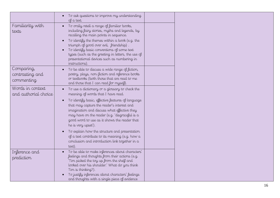|                                             | To ask questions to improve my understanding<br>of a text.                                                                                                                                                                                                                                                                                                                                                                                                                                                                      |  |
|---------------------------------------------|---------------------------------------------------------------------------------------------------------------------------------------------------------------------------------------------------------------------------------------------------------------------------------------------------------------------------------------------------------------------------------------------------------------------------------------------------------------------------------------------------------------------------------|--|
| Familiarity with<br>texts                   | To orally retell a range of familiar books,<br>including fairy stories, myths and legends, by<br>recalling the main points in sequence.<br>To identify the themes within a book (e.g. the<br>triumph of good over evil, friendship).<br>To identify basic conventions of some text<br>types (such as the greeting in letters, the use of<br>presentational devices such as numbering in<br>instructions)                                                                                                                        |  |
| Comparing,<br>contrasting and<br>commenting | To be able to discuss a wide range of fiction,<br>poetry, plays, non-fiction and reference books<br>or textbooks (both those that are read to me<br>and those that I can read for myself).                                                                                                                                                                                                                                                                                                                                      |  |
| Words in context<br>and authorial choice    | To use a dictionary or a glossary to check the<br>meaning of words that I have read.<br>To identify basic, effective features of language<br>that may capture the reader's interest and<br>imagination and discuss what effective they<br>may have on the reader (e.g. 'disgraceful is a<br>good word to use as it shows the reader that<br>he is very upset').<br>To explain how the structure and presentation<br>of a text contribute to its meaning (e.g. how a<br>conclusion and introduction link together in a<br>text). |  |
| Inference and<br>prediction                 | To be able to make inferences about characters'<br>$\bullet$<br>feelings and thoughts from their actions (e.g.<br>'Tim picked the toy up from the shelf and<br>looked over his shoulder.' What do you think<br>Tim is thinking?).<br>To justify inferences about characters' feelings<br>and thoughts with a single piece of evidence                                                                                                                                                                                           |  |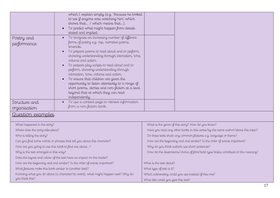|                                                                        | Poetry and<br>performance        | which I explain simply (e.g. 'Because he looked<br>to see if anyone was watching him' which<br>shows that / which means that).<br>To predict what might happen from details<br>stated and implied.<br>To recognise an increasing number of different<br>$\bullet$<br>forms of poetry e.g. rap, narrative poems,<br>limericks.<br>To prepare poems to read aloud and to perform,<br>showing understanding through intonation, tone,<br>volume and action.<br>To prepare play scripts to read aloud and to<br>perform, showing understanding through<br>intonation, tone, volume and action.<br>To ensure that children are given the<br>opportunity to listen attentively to a range of<br>short poems, stories and non-fiction at a level<br>beyond that at which they can read<br>independently. |  |                                                                                   |
|------------------------------------------------------------------------|----------------------------------|---------------------------------------------------------------------------------------------------------------------------------------------------------------------------------------------------------------------------------------------------------------------------------------------------------------------------------------------------------------------------------------------------------------------------------------------------------------------------------------------------------------------------------------------------------------------------------------------------------------------------------------------------------------------------------------------------------------------------------------------------------------------------------------------------|--|-----------------------------------------------------------------------------------|
|                                                                        | Structure and<br>organisation    | To use a content page to retrieve information<br>from a non-fiction book.                                                                                                                                                                                                                                                                                                                                                                                                                                                                                                                                                                                                                                                                                                                         |  |                                                                                   |
|                                                                        | Question examples                |                                                                                                                                                                                                                                                                                                                                                                                                                                                                                                                                                                                                                                                                                                                                                                                                   |  |                                                                                   |
|                                                                        | What happened in the story?      |                                                                                                                                                                                                                                                                                                                                                                                                                                                                                                                                                                                                                                                                                                                                                                                                   |  | What is the genre of this story? How do you know?                                 |
|                                                                        | Where does the story take place? |                                                                                                                                                                                                                                                                                                                                                                                                                                                                                                                                                                                                                                                                                                                                                                                                   |  | Have you read any other books in this series/by the same author/about this topic? |
| Who is telling the story?                                              |                                  | Do these texts share any common features e.g. language or theme?                                                                                                                                                                                                                                                                                                                                                                                                                                                                                                                                                                                                                                                                                                                                  |  |                                                                                   |
| Can you find some words or phrases that tell you about this character? |                                  | How are the beginning and end similar? Is the order of events important?                                                                                                                                                                                                                                                                                                                                                                                                                                                                                                                                                                                                                                                                                                                          |  |                                                                                   |
| How are you going to use this book to find out about?                  |                                  | Why do you think authors use short sentences?                                                                                                                                                                                                                                                                                                                                                                                                                                                                                                                                                                                                                                                                                                                                                     |  |                                                                                   |
| Why is the text arranged in this way?                                  |                                  | How do the illustrations/choice of font/bold type/italics contribute to the meaning?                                                                                                                                                                                                                                                                                                                                                                                                                                                                                                                                                                                                                                                                                                              |  |                                                                                   |

Does the layout and colour of the text have an impact on the reader?

How are the beginning and end similar? Is the order of events important?

What features make this book similar to (another text)?

Knowing what you do about (a character/an event), what might happen next? Why do you think this?

How do the illustrations/choice of font/bold type/italics contribute to the meaning? What is the text about?

What type of text is it? Which subheading could you use instead of this one? What title could you give this text?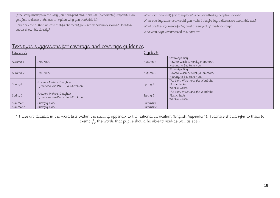| <u>Text type suggestions for coverage and coverage guidance</u> |                                                               |          |                                                                            |  |
|-----------------------------------------------------------------|---------------------------------------------------------------|----------|----------------------------------------------------------------------------|--|
| Cycle A                                                         |                                                               | Cycle B  |                                                                            |  |
| Autumn 1                                                        | Iron Man                                                      | Autumn 1 | Stone Age Boy<br>How to Wash a Woolly Mammoth<br>Nothing to See Here Hotel |  |
| Autumn 2                                                        | Iron Man                                                      | Autumn 2 | Stone Age Boy<br>How to Wash a Woolly Mammoth<br>Nothing to See Here Hotel |  |
| Spring 1                                                        | Firework Maker's Daughter<br>Tyrannosaurus Rex - Paul Cookson | Spring 1 | The Lion, Witch and the Wardrobe<br>Plastic Sucks<br>What a waste          |  |
| Spring 2                                                        | Firework Maker's Daughter<br>Tyrannosaurus Rex - Paul Cookson | Spring 2 | The Lion, Witch and the Wardrobe<br>Plastic Sucks<br>What a waste          |  |
| Summer 1                                                        | Butterfly Lion                                                | Summer 1 |                                                                            |  |
| Summer 2                                                        | Butterfly Lion                                                | Summer 2 |                                                                            |  |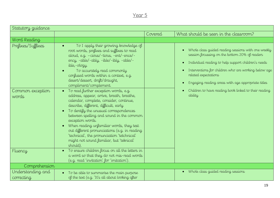| Statutory guidance                             |                                                                                                                                                                                                                                                                                                                                                                                                                                                                            |         |                                                                                                                                                                                                                                                                                                                                                                                     |
|------------------------------------------------|----------------------------------------------------------------------------------------------------------------------------------------------------------------------------------------------------------------------------------------------------------------------------------------------------------------------------------------------------------------------------------------------------------------------------------------------------------------------------|---------|-------------------------------------------------------------------------------------------------------------------------------------------------------------------------------------------------------------------------------------------------------------------------------------------------------------------------------------------------------------------------------------|
|                                                |                                                                                                                                                                                                                                                                                                                                                                                                                                                                            | Covered | What should be seen in the classroom?                                                                                                                                                                                                                                                                                                                                               |
| Word Reading                                   |                                                                                                                                                                                                                                                                                                                                                                                                                                                                            |         |                                                                                                                                                                                                                                                                                                                                                                                     |
| Prefixes/Suffixes<br>Common exception<br>words | To I apply their growing knowledge of<br>root words, prefixes and suffixes to read<br>aloud, e.g. -cious/-tious, -ent/-ence/-<br>ency, -able/-ably, -ible/-ibly, -able/-<br>ible,-ology.<br>To accurately read commonly<br>confused words within a context, e.g.<br>desert/dessert, draft/draught,<br>compliment/complement.<br>To read further exception words, e.g.<br>$\bullet$<br>address, appear, arrive, breath, breathe,<br>calendar, complete, consider, continue, |         | Whole class guided reading sessions with one weekly<br>session focussing on the bottom 20% of readers<br>Individual reading to help support children's needs<br>$\bullet$<br>Interventions for children who are working below age<br>related expectations<br>Engaging reading areas with age appropriate titles<br>Children to have reading book linked to their reading<br>ability |
|                                                | describe, different, difficult, early<br>To dentify the unusual correspondences<br>between spelling and sound in the common<br>exception words.<br>When reading unfamiliar words, they test<br>out different pronunciations (e.g. in reading<br>'technical', the pronunciation 'tetchnical'<br>might not sound familiar, but 'teknical'<br>should).                                                                                                                        |         |                                                                                                                                                                                                                                                                                                                                                                                     |
| Fluency                                        | To ensure children focus on all the letters in<br>a word so that they do not mis-read words<br>(e.g. read 'invitation' for 'imitation').                                                                                                                                                                                                                                                                                                                                   |         |                                                                                                                                                                                                                                                                                                                                                                                     |
| Comprehension                                  |                                                                                                                                                                                                                                                                                                                                                                                                                                                                            |         |                                                                                                                                                                                                                                                                                                                                                                                     |
| Understanding and<br>correcting                | To be able to summarise the main purpose<br>$\bullet$<br>of the text (e.g. 'It's all about looking after                                                                                                                                                                                                                                                                                                                                                                   |         | Whole class guided reading sessions<br>$\bullet$                                                                                                                                                                                                                                                                                                                                    |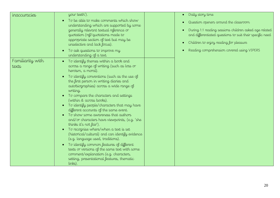| inaccuracies              | your teeth').                                                                                                                                                                                                                                                                                                                                                                                                                                                                                                                                                   | Daily story                                                |
|---------------------------|-----------------------------------------------------------------------------------------------------------------------------------------------------------------------------------------------------------------------------------------------------------------------------------------------------------------------------------------------------------------------------------------------------------------------------------------------------------------------------------------------------------------------------------------------------------------|------------------------------------------------------------|
|                           | To be able to make comments which show<br>understanding which are supported by some<br>generally relevant textual reference or<br>quotation (ref/quotations made to<br>appropriate section of text but may be<br>unselective and lack focus).                                                                                                                                                                                                                                                                                                                   | Question op<br>During 1:1 r<br>and differer<br>Children to |
|                           | To ask questions to improve my<br>understanding of a text.                                                                                                                                                                                                                                                                                                                                                                                                                                                                                                      | Reading co                                                 |
| Familiarity with<br>texts | To identify themes within a book and<br>across a range of writing (such as loss or<br>heroism, a moral).                                                                                                                                                                                                                                                                                                                                                                                                                                                        |                                                            |
|                           | To identify conventions (such as the use of<br>the first person in writing diaries and<br>autobiographies) across a wide range of<br>writing.<br>To compare the characters and settings<br>(within & across books).<br>To identify people/characters that may have<br>different accounts of the same event.<br>To show some awareness that authors<br>and/or characters have viewpoints, (e.g. 'she<br>thinks it's not fair').<br>To recognise where/when a text is set<br>(historical/cultural) and can identify evidence<br>(e.g. language used, traditions). |                                                            |
|                           | To identify common features of different<br>texts or versions of the same text with some<br>comment/explanation (e.g. characters,<br>setting, presentational features, thematic<br>links).                                                                                                                                                                                                                                                                                                                                                                      |                                                            |

#### $\overline{\iota}$  time

- $\epsilon$  peners around the classroom
- reading sessions children asked age related ntiated questions to suit their specific need
- enjoy reading for pleasure
- mprehension covered using VIPERS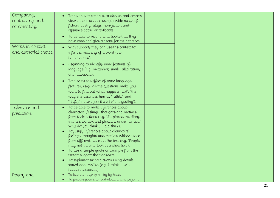| Comparing,<br>contrasting and<br>commenting | To be able to continue to discuss and express<br>views about an increasingly wide range of<br>fiction, poetry, plays, non-fiction and<br>reference books or textbooks.                                                                                                                                                                                                                                                                                                                                                                                                                                        |  |
|---------------------------------------------|---------------------------------------------------------------------------------------------------------------------------------------------------------------------------------------------------------------------------------------------------------------------------------------------------------------------------------------------------------------------------------------------------------------------------------------------------------------------------------------------------------------------------------------------------------------------------------------------------------------|--|
|                                             | To be able to recommend books that they<br>have read and give reasons for their choices.                                                                                                                                                                                                                                                                                                                                                                                                                                                                                                                      |  |
| Words in context<br>and authorial choice    | With support, they can use the context to<br>infer the meaning of a word (inc<br>homophones).                                                                                                                                                                                                                                                                                                                                                                                                                                                                                                                 |  |
|                                             | Beginning to identify some features of<br>language (e.g. metaphor, simile, alliteration,<br>onomatopoeia).                                                                                                                                                                                                                                                                                                                                                                                                                                                                                                    |  |
|                                             | To discuss the effect of some language<br>features, (e.g. 'all the questions make you<br>want to find out what happens next', 'the<br>way she describes him as "ratlike" and<br>"shifty" makes you think he's disgusting').                                                                                                                                                                                                                                                                                                                                                                                   |  |
| Inference and<br>prediction                 | • To be able to make inferences about<br>characters' feelings, thoughts and motives<br>from their actions (e.g. 'Jill placed the diary<br>into a shoe box and placed it under her bed.'<br>Why do you think Jill did this?).<br>To justify inferences about characters'<br>feelings, thoughts and motives withevidence<br>from different places in the text (e.g. 'People<br>may not think to look in a shoe box').<br>To use a simple quote or example from the<br>text to support their answers.<br>To explain their predictions using details<br>stated and implied (e.g. I think will<br>happen because). |  |
| Poetry and                                  | To learn a range of poetry by heart.<br>To prepare poems to read aloud and to perform,                                                                                                                                                                                                                                                                                                                                                                                                                                                                                                                        |  |

t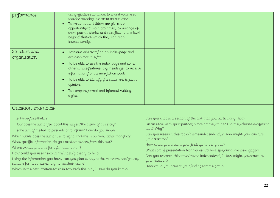| performance                                                                                                                                                                                                                                                                                                                                                                                                                                                                                                                                                                                                                                         | using effective intonation, tone and volume so<br>that the meaning is clear to an audience.<br>To ensure that children are given the<br>$\bullet$<br>opportunity to listen attentively to a range of<br>short poems, stories and non-fiction at a level<br>beyond that at which they can read<br>independently.                   |                                                |                                                                                                                                                                                                                                                                                                                                                                                                                                                                                                  |
|-----------------------------------------------------------------------------------------------------------------------------------------------------------------------------------------------------------------------------------------------------------------------------------------------------------------------------------------------------------------------------------------------------------------------------------------------------------------------------------------------------------------------------------------------------------------------------------------------------------------------------------------------------|-----------------------------------------------------------------------------------------------------------------------------------------------------------------------------------------------------------------------------------------------------------------------------------------------------------------------------------|------------------------------------------------|--------------------------------------------------------------------------------------------------------------------------------------------------------------------------------------------------------------------------------------------------------------------------------------------------------------------------------------------------------------------------------------------------------------------------------------------------------------------------------------------------|
| Structure and<br>organisation<br><u>Question examples</u>                                                                                                                                                                                                                                                                                                                                                                                                                                                                                                                                                                                           | To know where to find an index page and<br>explain what it is for.<br>To be able to use the index page and some<br>other simple features (e.g. headings) to retrieve<br>information from a non-fiction book.<br>To be able to identify if a statement is fact or<br>opinion.<br>To compare formal and informal writing<br>styles. |                                                |                                                                                                                                                                                                                                                                                                                                                                                                                                                                                                  |
| Is it true/false that?<br>How does the author feel about this subject/the theme of this story?<br>Is the aim of the text to persuade or to inform? How do you know?<br>Which words does the author use to signal that this is opinion, rather than fact?<br>What specific information do you need to retrieve from this text?<br>Where would you look for information on?<br>How could you use the contents/index/glossary to help?<br>Using the information you have, can you plan a day at the museum/zoo/gallery<br>suitable for (a consumer e.g. wheelchair user)?<br>Which is the best location to sit in to watch this play? How do you know? |                                                                                                                                                                                                                                                                                                                                   | part? Why?<br>your research?<br>your research? | Can you choose a section of the text that you particularly liked?<br>Discuss this with your partner; what do they think? Did they choose a different<br>Can you research this topic/theme independently? How might you structure<br>How could you present your findings to the group?<br>What sort of presentation techniques would keep your audience engaged?<br>Can you research this topic/theme independently? How might you structure<br>How could you present your findings to the group? |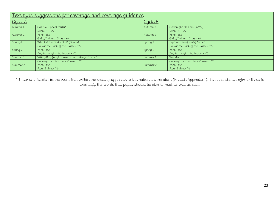| <u>Text type suggestions for coverage and coverage guidance</u> |                                               |          |                                     |
|-----------------------------------------------------------------|-----------------------------------------------|----------|-------------------------------------|
| Cycle A                                                         |                                               | Cycle B  |                                     |
| Autumn 1                                                        | Cosmic (Space) *order*                        | Autumn 1 | Goodnight Mr Tom (WW2)              |
|                                                                 | Room 13 - Y5                                  |          | Room 13 - Y5                        |
| Autumn 2                                                        | $Y5/6$ -tbc                                   | Autumn 2 | $Y5/6$ -tbc                         |
|                                                                 | Girl of Ink and Stars-Y6                      |          | Girl of Ink and Stars-Y6            |
| Spring 1                                                        | Who Let the God's Out? (Greeks)               | Spring 1 | Explorer (Rainforests) *order*      |
|                                                                 | Boy at the Back of the Class $-$ Y5           |          | Boy at the Back of the Class $-$ Y5 |
| Spring 2                                                        | $Y5/6$ -tbc                                   | Spring 2 | $Y5/6$ -tbc                         |
|                                                                 | Boy in the girls' bathroom-Y6                 |          | Boy in the girls' bathroom-Y6       |
| Summer 1                                                        | Viking Boy (Anglo-Saxons and Vikings) *order* | Summer 1 | Wonder                              |
|                                                                 | Curse of the Chocolate Phoenix-Y5             |          | Curse of the Chocolate Phoenix-Y5   |
| Summer 2                                                        | $Y5/6$ -tbc                                   | Summer 2 | $Y5/6$ -tbc                         |
|                                                                 | Flour Babies - Y6                             |          | Flour Babies-Y6                     |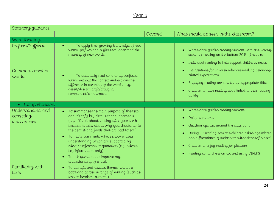| Statutory guidance                              |                                                                                                                                                                                                                                                                                                                                                                                                                                                                             |         |                                                                                                                                                                                                                                                                                                                                                                                     |
|-------------------------------------------------|-----------------------------------------------------------------------------------------------------------------------------------------------------------------------------------------------------------------------------------------------------------------------------------------------------------------------------------------------------------------------------------------------------------------------------------------------------------------------------|---------|-------------------------------------------------------------------------------------------------------------------------------------------------------------------------------------------------------------------------------------------------------------------------------------------------------------------------------------------------------------------------------------|
|                                                 |                                                                                                                                                                                                                                                                                                                                                                                                                                                                             | Covered | What should be seen in the classroom?                                                                                                                                                                                                                                                                                                                                               |
| Word Reading                                    |                                                                                                                                                                                                                                                                                                                                                                                                                                                                             |         |                                                                                                                                                                                                                                                                                                                                                                                     |
| Prefixes/Suffixes                               | To apply their growing knowledge of root<br>words, prefixes and suffixes to understand the<br>meaning of new words.                                                                                                                                                                                                                                                                                                                                                         |         | Whole class guided reading sessions with one weekly<br>session focussing on the bottom 20% of readers<br>Individual reading to help support children's needs<br>$\bullet$<br>Interventions for children who are working below age<br>related expectations<br>Engaging reading areas with age appropriate titles<br>Children to have reading book linked to their reading<br>ability |
| Common exception<br>words                       | To accurately read commonly confused<br>words without the context and explain the<br>difference in meaning of the words,, e.g.<br>desert/dessert, draft/draught,<br>compliment/complement.                                                                                                                                                                                                                                                                                  |         |                                                                                                                                                                                                                                                                                                                                                                                     |
| Comprehension<br>$\bullet$                      |                                                                                                                                                                                                                                                                                                                                                                                                                                                                             |         |                                                                                                                                                                                                                                                                                                                                                                                     |
| Understanding and<br>correcting<br>inaccuracies | $\bullet$ To summarise the main purpose of the text<br>and identify key details that support this<br>(e.g. 'It's all about looking after your teeth<br>because it talks about why you should go to<br>the dentist and foods that are bad to eat').<br>• To make comments which show a deep<br>understanding which are supported by<br>relevant reference or quotation (e.g. selects<br>key information only).<br>To ask questions to improve my<br>understanding of a text. |         | Whole class guided reading sessions<br>$\bullet$<br>Daily story time<br>$\bullet$<br>Question openers around the classroom<br>$\bullet$<br>During 1:1 reading sessions children asked age related<br>and differentiated questions to suit their specific need<br>Children to enjoy reading for pleasure<br>$\bullet$<br>Reading comprehension covered using VIPERS<br>$\bullet$     |
| Familiarity with<br>texts                       | To identify and discuss themes within a<br>book and across a range of writing (such as<br>loss or heroism, a moral).                                                                                                                                                                                                                                                                                                                                                        |         |                                                                                                                                                                                                                                                                                                                                                                                     |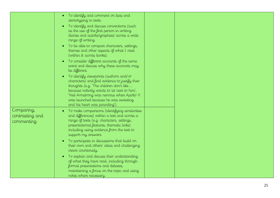|                 | To identify and comment on bias and                                 |  |
|-----------------|---------------------------------------------------------------------|--|
|                 | stereotyping in texts.                                              |  |
|                 | To identify and discuss conventions (such                           |  |
|                 | as the use of the first person in writing                           |  |
|                 | diaries and autobiographies) across a wide                          |  |
|                 | range of writing.                                                   |  |
|                 |                                                                     |  |
|                 | To be able to compare characters, settings,                         |  |
|                 | themes and other aspects of what I read<br>(within & across books). |  |
|                 |                                                                     |  |
|                 | To consider different accounts of the same                          |  |
|                 | event and discuss why these accounts may                            |  |
|                 | be different.                                                       |  |
|                 | To identify viewpoints (authors and/or                              |  |
|                 | characters) and find evidence to justify their                      |  |
|                 | thoughts (e.g. 'The children don't like                             |  |
|                 | because nobody wants to sit next to him',                           |  |
|                 | 'Neil Armstrong was nervous when Apollo 11                          |  |
|                 | was launched because he was sweating                                |  |
|                 | and his heart was pounding').                                       |  |
| Comparing,      | To make comparisons (identifying similarities<br>$\bullet$          |  |
| contrasting and | and differences) within a text and across a                         |  |
| commenting      | range of texts (e.g. characters, settings,                          |  |
|                 | presentational features, thematic links)                            |  |
|                 | including using evidence from the text to                           |  |
|                 | support my answers                                                  |  |
|                 | To participate in discussions that build on                         |  |
|                 | their own and others' ideas and challenging                         |  |
|                 | views courteously.                                                  |  |
|                 |                                                                     |  |
|                 | To explain and discuss their understanding                          |  |
|                 | of what they have read, including through                           |  |
|                 | formal presentations and debates,                                   |  |
|                 | maintaining a focus on the topic and using                          |  |
|                 | notes where necessary.                                              |  |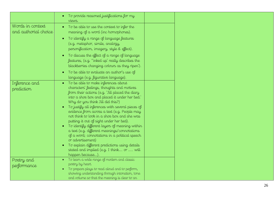|                                          | To provide reasoned justifications for my<br>VIEWS.                                                                                                                                                                                                                                                                                                                                                                                                                                                                                                                                                                                                                                                                             |  |
|------------------------------------------|---------------------------------------------------------------------------------------------------------------------------------------------------------------------------------------------------------------------------------------------------------------------------------------------------------------------------------------------------------------------------------------------------------------------------------------------------------------------------------------------------------------------------------------------------------------------------------------------------------------------------------------------------------------------------------------------------------------------------------|--|
| Words in context<br>and authorial choice | To be able to use the context to infer the<br>meaning of a word (inc homophones).<br>To identify a range of language features<br>(e.g. metaphor, simile, analogy,<br>personification, imagery, style & effect).                                                                                                                                                                                                                                                                                                                                                                                                                                                                                                                 |  |
|                                          | To discuss the effect of a range of language<br>features, (e.g. "inked up' really describes the<br>blackberries changing colours as they ripen').                                                                                                                                                                                                                                                                                                                                                                                                                                                                                                                                                                               |  |
|                                          | To be able to evaluate an author's use of<br>language (e.g. figurative language).                                                                                                                                                                                                                                                                                                                                                                                                                                                                                                                                                                                                                                               |  |
| Inference and<br>prediction              | To be able to make inferences about<br>$\bullet$<br>characters' feelings, thoughts and motives<br>from their actions (e.g. 'Jill placed the diary<br>into a shoe box and placed it under her bed."<br>Why do you think Jill did this?)<br>To justify all inferences with several pieces of<br>evidence from across a text (e.g. People may<br>not think to look in a shoe box and she was<br>putting it out of sight under her bed).<br>To identify different layers of meaning within<br>a text (e.g. different meanings/connotations<br>of a word; connotations in a political speech<br>or advertisement)<br>To explain different predictions using details<br>stated and implied (e.g. I think or  will<br>happen because). |  |
| Poetry and                               | To learn a wide range of modern and classic<br>$\bullet$<br>poetry by heart.                                                                                                                                                                                                                                                                                                                                                                                                                                                                                                                                                                                                                                                    |  |
| performance                              | To prepare plays to read aloud and to perform,<br>showing understanding through intonation, tone<br>and volume so that the meaning is clear to an                                                                                                                                                                                                                                                                                                                                                                                                                                                                                                                                                                               |  |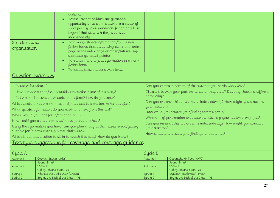| Structure and<br>organisation<br>Question examples                                                                                                                                                                                                                                                                                                                                                                                                                                                                                                                                                                                                                                                                     | audience.<br>To ensure that children are given the<br>$\bullet$<br>opportunity to listen attentively to a range of<br>short poems, stories and non-fiction at a level<br>beyond that at which they can read<br>independently.<br>To quickly retrieve information from a non-<br>$\bullet$<br>fiction books (including using either the content<br>page or the index page or other features, e.g.<br>subheadings, bullet points)<br>To explain how to find information in a non-<br>fiction book.<br>To locate facts/opinions with texts. |                                                |                                                                                                                                                                                                                                                                                                                                                                                                                                                                                                  |
|------------------------------------------------------------------------------------------------------------------------------------------------------------------------------------------------------------------------------------------------------------------------------------------------------------------------------------------------------------------------------------------------------------------------------------------------------------------------------------------------------------------------------------------------------------------------------------------------------------------------------------------------------------------------------------------------------------------------|------------------------------------------------------------------------------------------------------------------------------------------------------------------------------------------------------------------------------------------------------------------------------------------------------------------------------------------------------------------------------------------------------------------------------------------------------------------------------------------------------------------------------------------|------------------------------------------------|--------------------------------------------------------------------------------------------------------------------------------------------------------------------------------------------------------------------------------------------------------------------------------------------------------------------------------------------------------------------------------------------------------------------------------------------------------------------------------------------------|
| Is it true/false that?<br>How does the author feel about this subject/the theme of this story?<br>Is the aim of the text to persuade or to inform? How do you know?<br>Which words does the author use to signal that this is opinion, rather than fact?<br>What specific information do you need to retrieve from this text?<br>Where would you look for information on?<br>How could you use the contents/index/glossary to help?<br>Using the information you have, can you plan a day at the museum/zoo/gallery<br>suitable for (a consumer e.g. wheelchair user)?<br>Which is the best location to sit in to watch this play? How do you know?<br><u>Text type suggestions for coverage and coverage guidance</u> |                                                                                                                                                                                                                                                                                                                                                                                                                                                                                                                                          | part? Why?<br>your research?<br>your research? | Can you choose a section of the text that you particularly liked?<br>Discuss this with your partner; what do they think? Did they choose a different<br>Can you research this topic/theme independently? How might you structure<br>How could you present your findings to the group?<br>What sort of presentation techniques would keep your audience engaged?<br>Can you research this topic/theme independently? How might you structure<br>How could you present your findings to the group? |
| Cycle A                                                                                                                                                                                                                                                                                                                                                                                                                                                                                                                                                                                                                                                                                                                |                                                                                                                                                                                                                                                                                                                                                                                                                                                                                                                                          | <u>Cycle B</u>                                 |                                                                                                                                                                                                                                                                                                                                                                                                                                                                                                  |
| Autumn 1                                                                                                                                                                                                                                                                                                                                                                                                                                                                                                                                                                                                                                                                                                               | Cosmic (Space) *order*                                                                                                                                                                                                                                                                                                                                                                                                                                                                                                                   | Autumn 1                                       | Goodnight Mr Tom (WW2)                                                                                                                                                                                                                                                                                                                                                                                                                                                                           |
| Autumn 2                                                                                                                                                                                                                                                                                                                                                                                                                                                                                                                                                                                                                                                                                                               | Room 13 - Y5<br>$Y5/6$ -tbc<br>Girl of Ink and Stars-Y6                                                                                                                                                                                                                                                                                                                                                                                                                                                                                  | Autumn 2                                       | Room 13 - Y5<br>$Y5/6$ -tbc<br>Girl of Ink and Stars-Y6                                                                                                                                                                                                                                                                                                                                                                                                                                          |
| Spring 1                                                                                                                                                                                                                                                                                                                                                                                                                                                                                                                                                                                                                                                                                                               | Who Let the God's Out? (Greeks)                                                                                                                                                                                                                                                                                                                                                                                                                                                                                                          | Spring 1                                       | Explorer (Rainforests) *order*                                                                                                                                                                                                                                                                                                                                                                                                                                                                   |
| Spring 2                                                                                                                                                                                                                                                                                                                                                                                                                                                                                                                                                                                                                                                                                                               | Boy at the Back of the Class $-$ Y5                                                                                                                                                                                                                                                                                                                                                                                                                                                                                                      | Spring <sub>2</sub>                            | Boy at the Back of the Class - Y5                                                                                                                                                                                                                                                                                                                                                                                                                                                                |